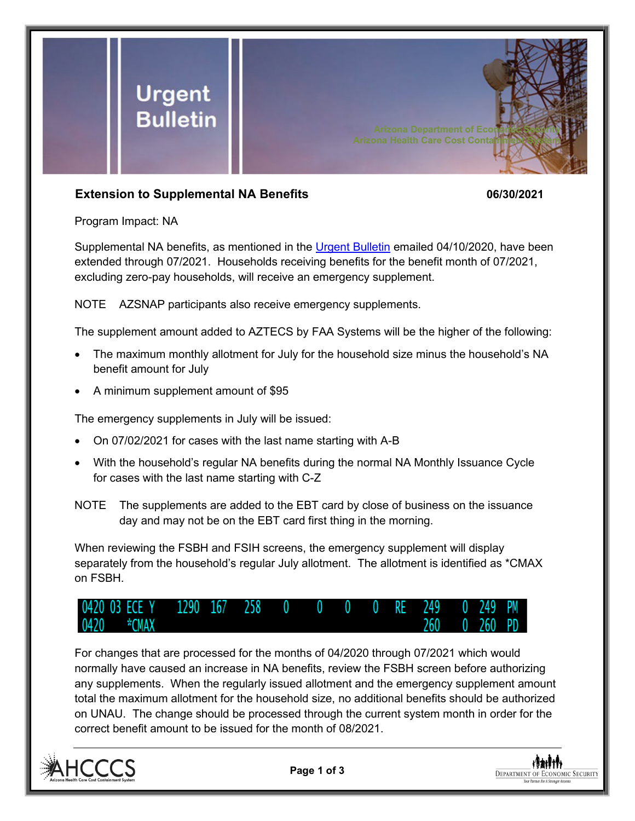

## **Extension to Supplemental NA Benefits 06/30/2021**

Program Impact: NA

Supplemental NA benefits, as mentioned in the [Urgent Bulletin](https://dbmefaapolicy.azdes.gov/FAA5/baggage/Urgent%20Bulletin%20(04-10-2020)%20-%20Supplemental%20Nutrition%20Assistance%20Benefits%20for%20Participants.pdf) emailed 04/10/2020, have been extended through 07/2021. Households receiving benefits for the benefit month of 07/2021, excluding zero-pay households, will receive an emergency supplement.

NOTE AZSNAP participants also receive emergency supplements.

The supplement amount added to AZTECS by FAA Systems will be the higher of the following:

- The maximum monthly allotment for July for the household size minus the household's NA benefit amount for July
- A minimum supplement amount of \$95

The emergency supplements in July will be issued:

- On 07/02/2021 for cases with the last name starting with A-B
- With the household's regular NA benefits during the normal NA Monthly Issuance Cycle for cases with the last name starting with C-Z
- NOTE The supplements are added to the EBT card by close of business on the issuance day and may not be on the EBT card first thing in the morning.

When reviewing the FSBH and FSIH screens, the emergency supplement will display separately from the household's regular July allotment. The allotment is identified as \*CMAX on FSBH.



For changes that are processed for the months of 04/2020 through 07/2021 which would normally have caused an increase in NA benefits, review the FSBH screen before authorizing any supplements. When the regularly issued allotment and the emergency supplement amount total the maximum allotment for the household size, no additional benefits should be authorized on UNAU. The change should be processed through the current system month in order for the correct benefit amount to be issued for the month of 08/2021.



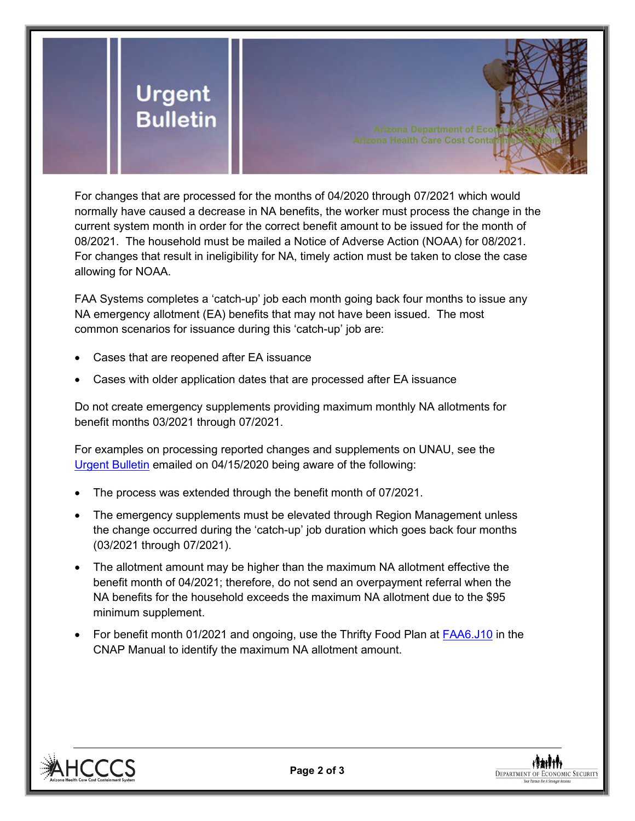

**Arizona Health Care Cost Contain** 

For changes that are processed for the months of 04/2020 through 07/2021 which would normally have caused a decrease in NA benefits, the worker must process the change in the current system month in order for the correct benefit amount to be issued for the month of 08/2021. The household must be mailed a Notice of Adverse Action (NOAA) for 08/2021. For changes that result in ineligibility for NA, timely action must be taken to close the case allowing for NOAA.

FAA Systems completes a 'catch-up' job each month going back four months to issue any NA emergency allotment (EA) benefits that may not have been issued. The most common scenarios for issuance during this 'catch-up' job are:

- Cases that are reopened after EA issuance
- Cases with older application dates that are processed after EA issuance

Do not create emergency supplements providing maximum monthly NA allotments for benefit months 03/2021 through 07/2021.

For examples on processing reported changes and supplements on UNAU, see the [Urgent Bulletin](https://dbmefaapolicy.azdes.gov/FAA5/baggage/Urgent%20Bulletin%20(04-15-2020)%20-%20Reported%20Changes%20and%20Supplements%20on%20UNAU.pdf) emailed on 04/15/2020 being aware of the following:

- The process was extended through the benefit month of 07/2021.
- The emergency supplements must be elevated through Region Management unless the change occurred during the 'catch-up' job duration which goes back four months (03/2021 through 07/2021).
- The allotment amount may be higher than the maximum NA allotment effective the benefit month of 04/2021; therefore, do not send an overpayment referral when the NA benefits for the household exceeds the maximum NA allotment due to the \$95 minimum supplement.
- For benefit month 01/2021 and ongoing, use the Thrifty Food Plan at [FAA6.J10](https://dbmefaapolicy.azdes.gov/?#page/FAA6%2F6.J_Standards_Fees_and_Amounts.10.33.html%23) in the CNAP Manual to identify the maximum NA allotment amount.



**DEPARTMENT OF ECONOMIC SECURITY**